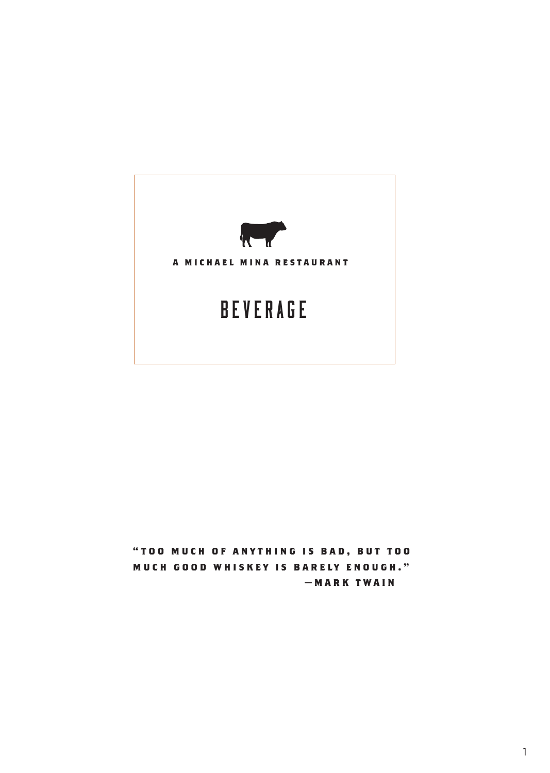

**" T O O M U C H O F A N Y T H I N G I S B A D , B U T T O O MUCH GOOD WHISKEY IS BARELY ENOUGH." — M A R K T W A I N**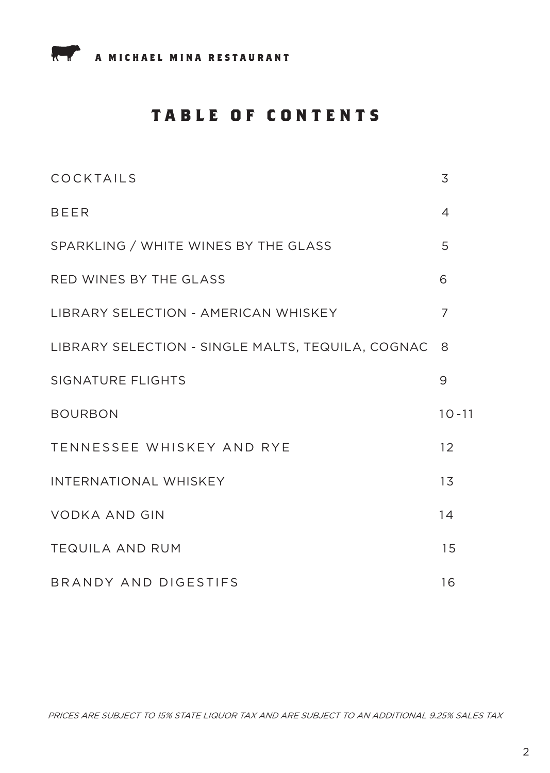

# **TABLE OF CONTENTS**

| COCKTAILS                                         | 3         |
|---------------------------------------------------|-----------|
| <b>BEER</b>                                       | 4         |
| SPARKLING / WHITE WINES BY THE GLASS              | 5         |
| RED WINES BY THE GLASS                            | 6         |
| LIBRARY SELECTION - AMERICAN WHISKEY              | 7         |
| LIBRARY SELECTION - SINGLE MALTS, TEQUILA, COGNAC | - 8       |
| <b>SIGNATURE FLIGHTS</b>                          | 9         |
| <b>BOURBON</b>                                    | $10 - 11$ |
| TENNESSEE WHISKEY AND RYE                         | 12        |
| <b>INTERNATIONAL WHISKEY</b>                      | 13        |
| <b>VODKA AND GIN</b>                              | 14        |
| <b>TEQUILA AND RUM</b>                            | 15        |
| BRANDY AND DIGESTIFS                              | 16        |

PRICES ARE SUBJECT TO 15% STATE LIQUOR TAX AND ARE SUBJECT TO AN ADDITIONAL 9.25% SALES TAX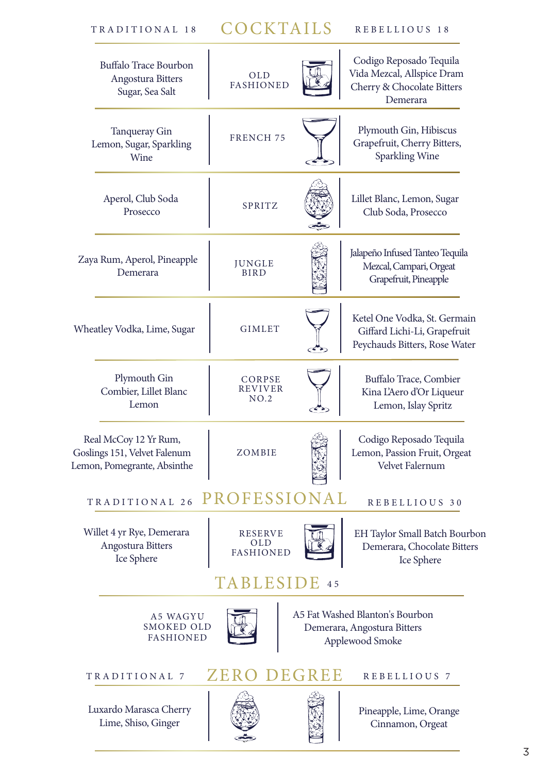# TRADITIONAL 18 COCKTAILS REBELLIOUS 18

| Buffalo Trace Bourbon<br>Angostura Bitters<br>Sugar, Sea Salt                        | <b>OLD</b><br><b>FASHIONED</b>                                                                  |    | Codigo Reposado Tequila<br>Vida Mezcal, Allspice Dram<br>Cherry & Chocolate Bitters<br>Demerara |  |  |  |
|--------------------------------------------------------------------------------------|-------------------------------------------------------------------------------------------------|----|-------------------------------------------------------------------------------------------------|--|--|--|
| <b>Tanqueray Gin</b><br>Lemon, Sugar, Sparkling<br>Wine                              | <b>FRENCH 75</b>                                                                                |    | Plymouth Gin, Hibiscus<br>Grapefruit, Cherry Bitters,<br>Sparkling Wine                         |  |  |  |
| Aperol, Club Soda<br>Prosecco                                                        | <b>SPRITZ</b>                                                                                   |    | Lillet Blanc, Lemon, Sugar<br>Club Soda, Prosecco                                               |  |  |  |
| Zaya Rum, Aperol, Pineapple<br>Demerara                                              | <b>JUNGLE</b><br><b>BIRD</b>                                                                    |    | Jalapeño Infused Tanteo Tequila<br>Mezcal, Campari, Orgeat<br>Grapefruit, Pineapple             |  |  |  |
| Wheatley Vodka, Lime, Sugar                                                          | <b>GIMLET</b>                                                                                   |    | Ketel One Vodka, St. Germain<br>Giffard Lichi-Li, Grapefruit<br>Peychauds Bitters, Rose Water   |  |  |  |
| Plymouth Gin<br>Combier, Lillet Blanc<br>Lemon                                       | CORPSE<br>REVIVER<br>NO.2                                                                       |    | Buffalo Trace, Combier<br>Kina L'Aero d'Or Liqueur<br>Lemon, Islay Spritz                       |  |  |  |
| Real McCoy 12 Yr Rum,<br>Goslings 151, Velvet Falenum<br>Lemon, Pomegrante, Absinthe | ZOMBIE                                                                                          |    | Codigo Reposado Tequila<br>Lemon, Passion Fruit, Orgeat<br>Velvet Falernum                      |  |  |  |
| TRADITIONAL 26                                                                       | PROFESSIONAL                                                                                    |    | REBELLIOUS 30                                                                                   |  |  |  |
| Willet 4 yr Rye, Demerara<br>Angostura Bitters<br>Ice Sphere                         | <b>RESERVE</b><br>OLD<br>FASHIONED                                                              |    | EH Taylor Small Batch Bourbon<br>Demerara, Chocolate Bitters<br>Ice Sphere                      |  |  |  |
|                                                                                      | BLESID                                                                                          | 45 |                                                                                                 |  |  |  |
| <b>A5 WAGYU</b><br><b>FASHIONED</b>                                                  | A5 Fat Washed Blanton's Bourbon<br>SMOKED OLD<br>Demerara, Angostura Bitters<br>Applewood Smoke |    |                                                                                                 |  |  |  |
| TRADITIONAL 7                                                                        | ZERO DEGREE                                                                                     |    | REBELLIOUS 7                                                                                    |  |  |  |
| Luxardo Marasca Cherry<br>Lime, Shiso, Ginger                                        |                                                                                                 |    | Pineapple, Lime, Orange<br>Cinnamon, Orgeat                                                     |  |  |  |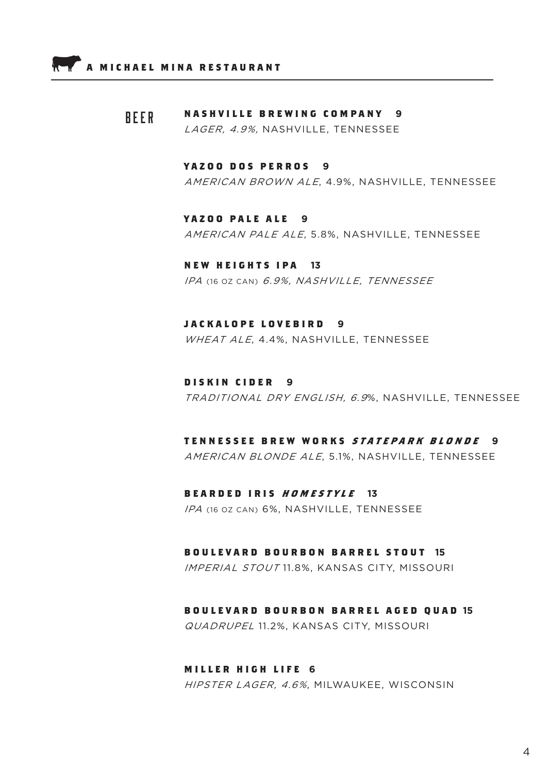#### **NASHVILLE BREWING COMPANY 9** BEER

LAGER, 4.9%, NASHVILLE, TENNESSEE

### **YAZOO DOS PERROS 9**

AMERICAN BROWN ALE, 4.9%, NASHVILLE, TENNESSEE

### **YAZOO PALE ALE 9**

AMERICAN PALE ALE, 5.8%, NASHVILLE, TENNESSEE

### **NEW HEIGHTS IPA 13** IPA (16 OZ CAN) 6.9%, NASHVILLE, TENNESSEE

### **JACKALOPE LOVEBIRD 9**

WHEAT ALE, 4.4%, NASHVILLE, TENNESSEE

### **DISKIN CIDER 9** TRADITIONAL DRY ENGLISH, 6.9%, NASHVILLE, TENNESSEE

## **TENNESSEE BREW WORKS STATEPARK BLONDE 9**

AMERICAN BLONDE ALE, 5.1%, NASHVILLE, TENNESSEE

#### **BEARDED IRIS HOMESTYLE 13**

IPA (16 OZ CAN) 6%, NASHVILLE, TENNESSEE

#### **BOULEVARD BOURBON BARREL STOUT 15**

IMPERIAL STOUT 11.8%, KANSAS CITY, MISSOURI

#### **BOULEVARD BOURBON BARREL AGED QUAD 15**

QUADRUPEL 11.2%, KANSAS CITY, MISSOURI

#### **MILLER HIGH LIFE 6**

HIPSTER LAGER, 4.6%, MILWAUKEE, WISCONSIN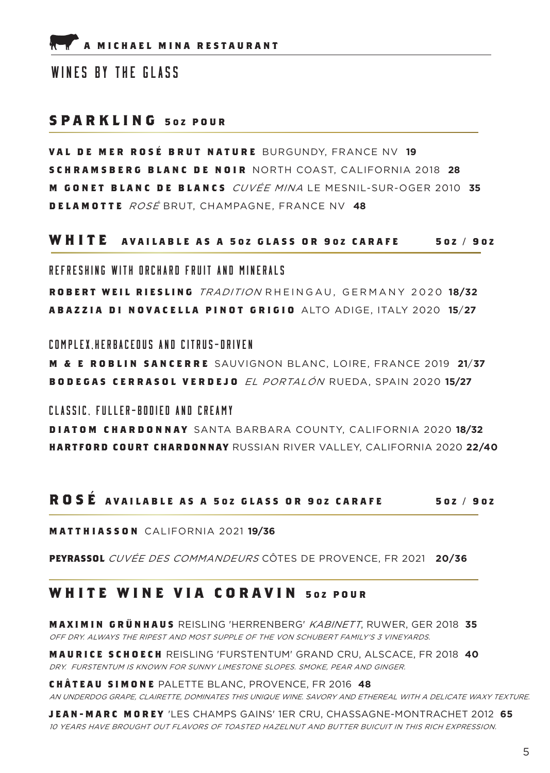### WINES BY THE GLASS

### **SPARKLING 502 POUR**

**VAL DE MER ROS É BRUT NATURE** BURGUNDY, FRANCE NV **19 SCHRAMSBERG BLANC DE NOIR** NORTH COAST, CALIFORNIA 2018 **28 M GONET BLANC DE BLANCS** CUVÉE MINA LE MESNIL-SUR-OGER 2010 **35 DELAMOTTE** ROSÉ BRUT, CHAMPAGNE, FRANCE NV **48**

### **WHITE AVAILABLE AS A 5 O Z GLASS OR 9 O Z CARAFE <sup>5</sup> OZ / 9 O Z**

REFRESHING WITH ORCHARD FRUIT AND MINERALS

**ROBERT WEIL RIESLING** TRADITION RHEINGAU, GERMANY 2020 **18/32 ABAZZIA DI NOVACELLA PINOT GRIGIO** ALTO ADIGE, ITALY 2020 **15**/**27**

COMPLEX HERBACEOUS AND CITRUS-DRIVEN

**M & E ROBLIN SANCERRE** SAUVIGNON BLANC, LOIRE, FRANCE 2019 **21**/**37 BODEGAS CERRASOL VERDEJO** EL PORTALÓN RUEDA, SPAIN 2020 **15/27**

CLASSIC, FULLER-BODIED AND CREAMY **DIATOM CHARDONNAY** SANTA BARBARA COUNTY, CALIFORNIA 2020 **18/32 HARTFORD COURT CHARDONNAY** RUSSIAN RIVER VALLEY, CALIFORNIA 2020 **22/40**

## **ROS É AVAILABLE AS A 5 O Z GLASS OR 9 O Z CARAFE 5 OZ / 9 O Z**

#### **MATTHIASSON** CALIFORNIA 2021 **19/36**

**PEYRASSOL** CUVÉE DES COMMANDEURS CÔTES DE PROVENCE, FR 2021 **20/36**

## **WHITE WINE VIA CORAVIN 502 POUR**

**MAXIMIN GR Ü NHAUS** REISLING 'HERRENBERG' KABINETT, RUWER, GER 2018 **35** OFF DRY. ALWAYS THE RIPEST AND MOST SUPPLE OF THE VON SCHUBERT FAMILY'S 3 VINEYARDS.

**MAURICE SCHOECH** REISLING 'FURSTENTUM' GRAND CRU, ALSCACE, FR 2018 **40** DRY. FURSTENTUM IS KNOWN FOR SUNNY LIMESTONE SLOPES. SMOKE, PEAR AND GINGER.

**CHÂTEAU SIMONE** PALETTE BLANC, PROVENCE, FR 2016 **48** AN UNDERDOG GRAPE, CLAIRETTE, DOMINATES THIS UNIQUE WINE. SAVORY AND ETHEREAL WITH A DELICATE WAXY TEXTURE.

**JEAN-MARC M0REY** 'LES CHAMPS GAINS' 1ER CRU, CHASSAGNE-MONTRACHET 2012 **65** 10 YEARS HAVE BROUGHT OUT FLAVORS OF TOASTED HAZELNUT AND BUTTER BUICUIT IN THIS RICH EXPRESSION.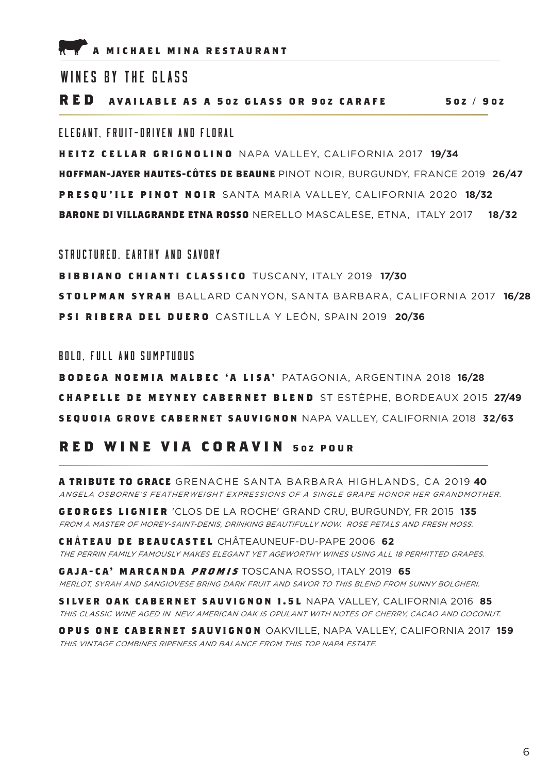### WINES BY THE GLASS

**RED AVAILABLE AS A 5 O Z GLASS OR 9 O Z CARAFE 5 OZ / 9 O Z**

### FIFGANT FRUIT-DRIVEN AND FLORAL

**HEITZ CELLAR GRIGNOLINO** NAPA VALLEY, CALIFORNIA 2017 **19/34 HOFFMAN-JAYER HAUTES-CÔTES DE BEAUNE** PINOT NOIR, BURGUNDY, FRANCE 2019 **26/47 PRESQU'ILE PINOT NOIR** SANTA MARIA VALLEY, CALIFORNIA 2020 **18/32 BARONE DI VILLAGRANDE ETNA ROSSO** NERELLO MASCALESE, ETNA, ITALY 2017 **18/32**

STRUCTURED, EARTHY AND SAVORY

**BIBBIANO CHIANTI CLASSICO** TUSCANY, ITALY 2019 **17/30 STOLPMAN SYRAH** BALLARD CANYON, SANTA BARBARA, CALIFORNIA 2017 **16/28 PSI RIBERA DEL DUERO** CASTILLA Y LEÓN, SPAIN 2019 **20/36**

BOLD, FULL AND SUMPTUOUS

**BODEGA NOEMIA MALBEC 'A LISA'** PATAGONIA, ARGENTINA 2018 **16/28 CHAPELLE DE MEYNEY CABERNET BLEND** ST ESTÈPHE, BORDEAUX 2015 **27/49 SEQUOIA GROVE CABERNET SAUVIGNON** NAPA VALLEY, CALIFORNIA 2018 **32/63**

## **RED WINE VIA CORAVIN 502 POUR**

**A TRIBUTE TO GRACE** GRENACHE SANTA BARBARA HIGHLANDS, CA 2019 **40** ANGELA OSBORNE'S FEATHERWEIGHT EXPRESSIONS OF A SINGLE GRAPE HONOR HER GRANDMOTHER.

**GEORGES LIGNIER** 'CLOS DE LA ROCHE' GRAND CRU, BURGUNDY, FR 2015 **135** FROM A MASTER OF MOREY-SAINT-DENIS, DRINKING BEAUTIFULLY NOW. ROSE PETALS AND FRESH MOSS.

**C H** Â **TEAU DE BEAUCASTEL** CHÂTEAUNEUF-DU-PAPE 2006 **62** THE PERRIN FAMILY FAMOUSLY MAKES ELEGANT YET AGEWORTHY WINES USING ALL 18 PERMITTED GRAPES.

**GAJA-CA' MARCANDA PROMIS** TOSCANA ROSSO, ITALY 2019 **65** MERLOT, SYRAH AND SANGIOVESE BRING DARK FRUIT AND SAVOR TO THIS BLEND FROM SUNNY BOLGHERI.

**SILVER OAK CABERNET SAUVIGNON 1.5L** NAPA VALLEY, CALIFORNIA 2016 **85** THIS CLASSIC WINE AGED IN NEW AMERICAN OAK IS OPULANT WITH NOTES OF CHERRY, CACAO AND COCONUT.

**OPUS ONE CABERNET SAUVIGNON** OAKVILLE, NAPA VALLEY, CALIFORNIA 2017 **159** THIS VINTAGE COMBINES RIPENESS AND BALANCE FROM THIS TOP NAPA ESTATE.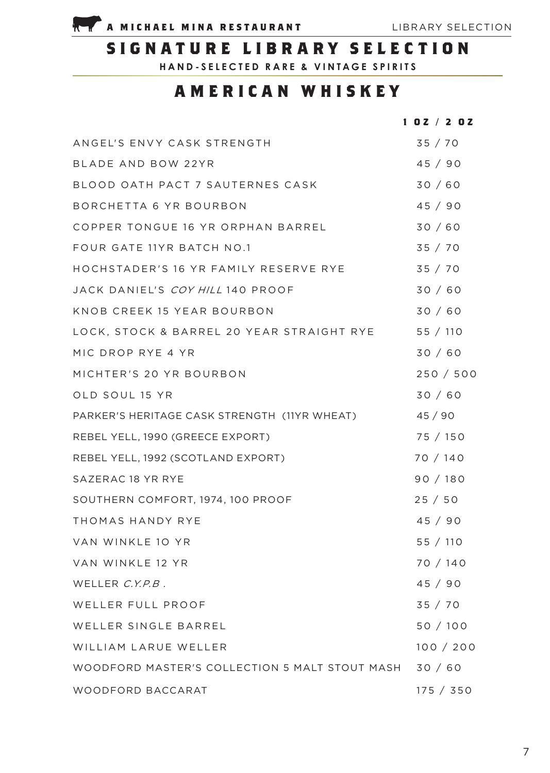

# **SIGNATURE LIBRARY SELECTION**

**HAND-SELECTED RARE & VINTAGE SPIRITS**

# **AMERICAN WHISKEY**

|                                                | 102 / 202 |
|------------------------------------------------|-----------|
| ANGEL'S ENVY CASK STRENGTH                     | 35/70     |
| BLADE AND BOW 22YR                             | 45 / 90   |
| BLOOD OATH PACT 7 SAUTERNES CASK               | 30 / 60   |
| BORCHETTA 6 YR BOURBON                         | 45/90     |
| COPPER TONGUE 16 YR ORPHAN BARREL              | 30/60     |
| FOUR GATE 11YR BATCH NO.1                      | 35 / 70   |
| HOCHSTADER'S 16 YR FAMILY RESERVE RYE          | 35 / 70   |
| JACK DANIEL'S COY HILL 140 PROOF               | 30/60     |
| KNOB CREEK 15 YEAR BOURBON                     | 30/60     |
| LOCK, STOCK & BARREL 20 YEAR STRAIGHT RYE      | 55 / 110  |
| MIC DROP RYE 4 YR                              | 30/60     |
| MICHTER'S 20 YR BOURBON                        | 250 / 500 |
| OLD SOUL 15 YR                                 | 30/60     |
| PARKER'S HERITAGE CASK STRENGTH (11YR WHEAT)   | 45/90     |
| REBEL YELL, 1990 (GREECE EXPORT)               | 75 / 150  |
| REBEL YELL, 1992 (SCOTLAND EXPORT)             | 70 / 140  |
| SAZERAC 18 YR RYE                              | 90/180    |
| SOUTHERN COMFORT, 1974, 100 PROOF              | 25/50     |
| THOMAS HANDY RYE                               | 45/90     |
| VAN WINKLE 10 YR                               | 55 / 110  |
| VAN WINKLE 12 YR                               | 70 / 140  |
| WELLER C.Y.P.B.                                | 45 / 90   |
| WELLER FULL PROOF                              | 35 / 70   |
| WELLER SINGLE BARREL                           | 50/100    |
| WILLIAM LARUE WELLER                           | 100 / 200 |
| WOODFORD MASTER'S COLLECTION 5 MALT STOUT MASH | 30/60     |
| WOODFORD BACCARAT                              | 175 / 350 |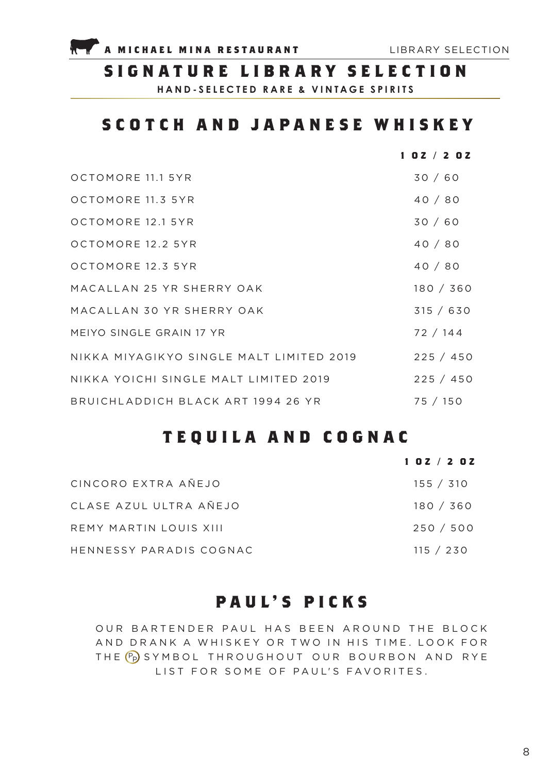

## **SIGNATURE LIBRARY SELECTION**

**HAND-SELECTED RARE & VINTAGE SPIRITS**

# **SCOTCH AND JAPANESE WHISKEY**

|                                          | 102 / 202 |
|------------------------------------------|-----------|
| OCTOMORE 11.1 5YR                        | 30/60     |
| OCTOMORE 11.3 5YR                        | 40/80     |
| OCTOMORE 12.1 5YR                        | 30/60     |
| OCTOMORE 12.2 5YR                        | 40/80     |
| OCTOMORE 12.3 5YR                        | 40/80     |
| MACALLAN 25 YR SHERRY OAK                | 180 / 360 |
| MACALLAN 30 YR SHERRY OAK                | 315 / 630 |
| MEIYO SINGLE GRAIN 17 YR                 | 72 / 144  |
| NIKKA MIYAGIKYO SINGLE MALT LIMITED 2019 | 225 / 450 |
| NIKKA YOICHI SINGLE MALT LIMITED 2019    | 225 / 450 |
| BRUICHLADDICH BLACK ART 1994 26 YR       | 75 / 150  |

# **TEQUILA AND COGNAC**

|                         | 102/202 |  |  |           |  |
|-------------------------|---------|--|--|-----------|--|
| CINCORO EXTRA AÑEJO     |         |  |  | 155 / 310 |  |
| CLASE AZUL ULTRA AÑEJO  |         |  |  | 180 / 360 |  |
| REMY MARTIN LOUIS XIII  |         |  |  | 250 / 500 |  |
| HENNESSY PARADIS COGNAC |         |  |  | 115 / 230 |  |

# **PAUL'S PICKS**

OUR BARTENDER PAUL HAS BEEN AROUND THE BLOCK AND DRANK A WHISKEY OR TWO IN HIS TIME. LOOK FOR THE (Pp) SYMBOL THROUGHOUT OUR BOURBON AND RYE LIST FOR SOME OF PAUL'S FAVORITES.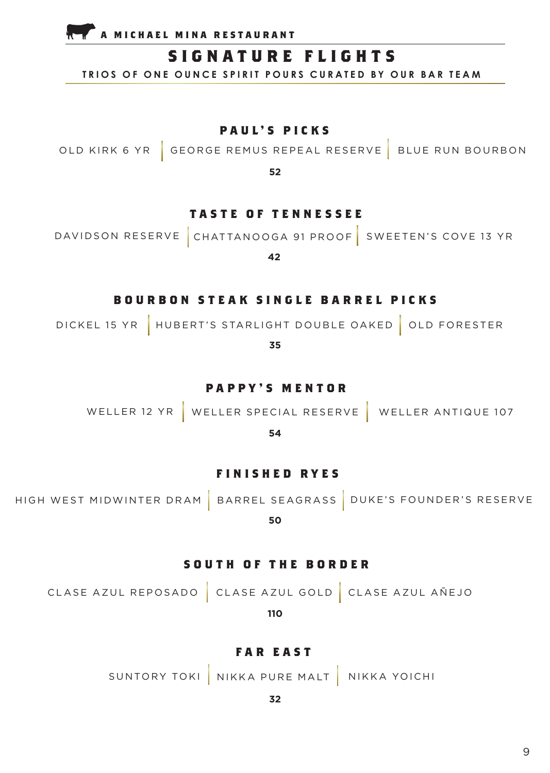**A MICHAEL MINA RESTAURANT** 

# **SIGNATURE FLIGHTS**

**TRIOS OF ONE OUNCE SPIRIT POURS CURATED BY OUR BAR TEAM**

**PAUL'S PICKS**

OLD KIRK 6 YR GEORGE REMUS REPEAL RESERVE BLUE RUN BOURBON

**52**

### **TASTE OF TENNESSEE**

DAVIDSON RESERVE CHATTANOOGA 91 PROOF SWEETEN'S COVE 13 YR

**42**

### **BOURBON STEAK SINGLE BARREL PICKS**

DICKEL 15 YR | HUBERT'S STARLIGHT DOUBLE OAKED | OLD FORESTER

**35**

**PAPPY'S MENTOR**

WELLER 12 YR WELLER SPECIAL RESERVE WELLER ANTIQUE 107

**54**

### **FINISHED RYES**

HIGH WEST MIDWINTER DRAM | BARREL SEAGRASS | DUKE'S FOUNDER'S RESERVE

**50**

### **SOUTH OF THE BORDER**

CLASE AZUL REPOSADO CLASE AZUL GOLD CLASE AZUL AÑEJO

**110**

### **FAR EAST**

SUNTORY TOKI NIKKA PURE MALT NIKKA YOICHI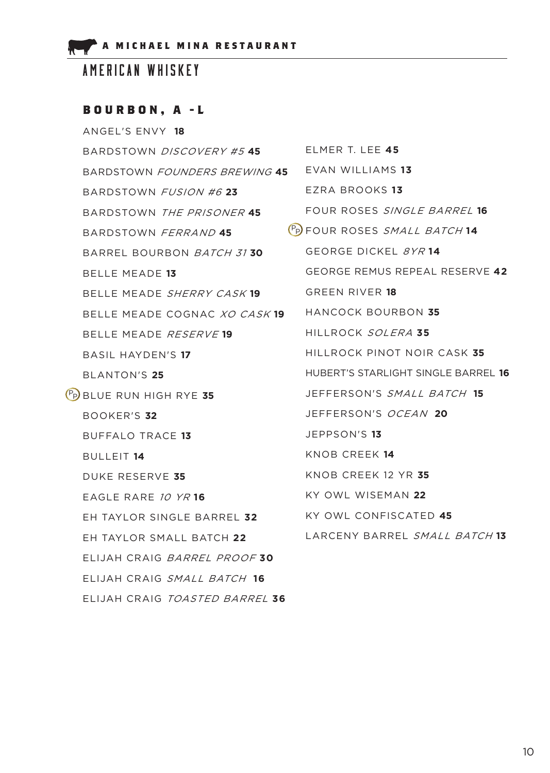# AMERICAN WHISKEY

## **BOURBON, A -L**

| ANGEL'S ENVY 18                             |                                             |
|---------------------------------------------|---------------------------------------------|
| BARDSTOWN DISCOVERY #5 45                   | ELMER T. LEE 45                             |
| BARDSTOWN <i>FOUNDERS BREWING</i> 45        | EVAN WILLIAMS 13                            |
| BARDSTOWN FUSION #6 23                      | EZRA BROOKS 13                              |
| BARDSTOWN THE PRISONER 45                   | FOUR ROSES SINGLE BARREL 16                 |
| BARDSTOWN FERRAND 45                        | (P <sub>P</sub> ) FOUR ROSES SMALL BATCH 14 |
| BARREL BOURBON BATCH 3130                   | GEORGE DICKEL 8YR 14                        |
| BELLE MEADE 13                              | <b>GEORGE REMUS REPEAL RESERVE 42</b>       |
| BELLE MEADE SHERRY CASK 19                  | GREEN RIVER 18                              |
| BELLE MEADE COGNAC <i>XO CASK</i> <b>19</b> | HANCOCK BOURBON 35                          |
| BELLE MEADE RESERVE 19                      | HILLROCK SOLERA 35                          |
| <b>BASIL HAYDEN'S 17</b>                    | HILLROCK PINOT NOIR CASK 35                 |
| BLANTON'S 25                                | HUBERT'S STARLIGHT SINGLE BARREL <b>16</b>  |
| P <sub>P</sub> BLUE RUN HIGH RYE 35         | JEFFERSON'S SMALL BATCH 15                  |
| BOOKER'S 32                                 | JEFFERSON'S OCEAN 20                        |
| <b>BUFFALO TRACE 13</b>                     | JEPPSON'S 13                                |
| <b>BULLEIT 14</b>                           | KNOB CREEK 14                               |
| DUKE RESERVE 35                             | KNOB CREEK 12 YR 35                         |
| EAGLE RARE 10 YR 16                         | KY OWL WISEMAN 22                           |
| EH TAYLOR SINGLE BARREL 32                  | KY OWL CONFISCATED 45                       |
| EH TAYLOR SMALL BATCH 22                    | LARCENY BARREL SMALL BATCH 13               |
| ELIJAH CRAIG BARREL PROOF 30                |                                             |
| ELIJAH CRAIG SMALL BATCH 16                 |                                             |
| ELIJAH CRAIG TOASTED BARREL 36              |                                             |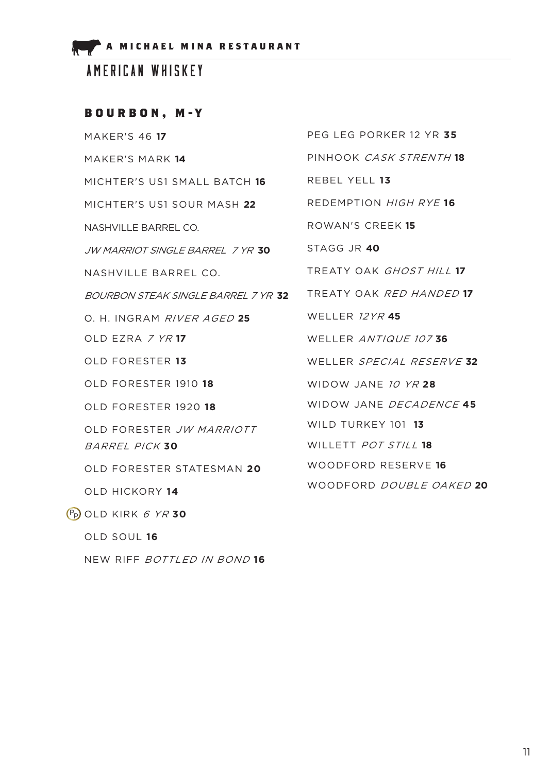AMERICAN WHISKEY

## **BOURBON, M-Y**

| <b>MAKER'S 46 17</b>                                             | PEG LEG PORKER 12 YR 35   |
|------------------------------------------------------------------|---------------------------|
| MAKER'S MARK 14                                                  | PINHOOK CASK STRENTH 18   |
| MICHTER'S US1 SMALL BATCH 16                                     | REBEL YELL 13             |
| MICHTER'S US1 SOUR MASH 22                                       | REDEMPTION HIGH RYE 16    |
| NASHVILLE BARREL CO.                                             | ROWAN'S CREEK 15          |
| JW MARRIOT SINGLE BARREL 7 YR 30                                 | STAGG JR 40               |
| NASHVILLE BARREL CO.                                             | TREATY OAK GHOST HILL 17  |
| BOURBON STEAK SINGLE BARREL 7 YR <b>32</b>                       | TREATY OAK RED HANDED 17  |
| O. H. INGRAM RIVER AGED 25                                       | <b>WELLER 12YR 45</b>     |
| OLD EZRA 7 YR 17                                                 | WELLER ANTIQUE 107 36     |
| OLD FORESTER 13                                                  | WELLER SPECIAL RESERVE 32 |
| OLD FORESTER 1910 18                                             | WIDOW JANE 10 YR 28       |
| OLD FORESTER 1920 18                                             | WIDOW JANE DECADENCE 45   |
| OLD FORESTER JW MARRIOTT                                         | WILD TURKEY 101 13        |
| BARREL PICK 30                                                   | WILLETT POT STILL 18      |
| OLD FORESTER STATESMAN 20                                        | WOODFORD RESERVE 16       |
| OLD HICKORY 14                                                   | WOODFORD DOUBLE OAKED 20  |
| $\overline{P_{\mathsf{P}}}$ old kirk $\overline{\epsilon}$ yr 30 |                           |

OLD SOUL **16**

NEW RIFF BOTTLED IN BOND **16**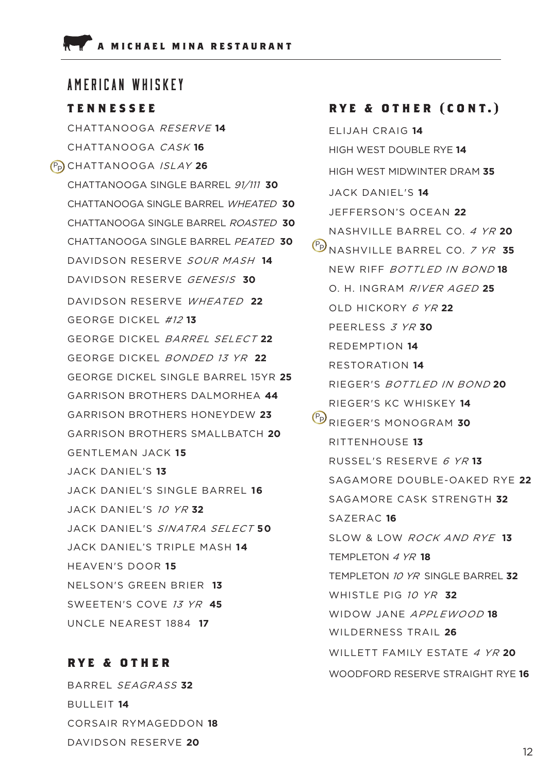## AMERICAN WHISKEY

### **TENNESSEE**

CHATTANOOGA RESERVE **14** CHATTANOOGA CASK **16** P<sub>P</sub>) CHATTANOOGA *ISLAY* 26 CHATTANOOGA SINGLE BARREL 91/111 **30** CHATTANOOGA SINGLE BARREL WHEATED **30** CHATTANOOGA SINGLE BARREL ROASTED **30** CHATTANOOGA SINGLE BARREL PEATED **30** DAVIDSON RESERVE SOUR MASH **14** DAVIDSON RESERVE GENESIS **30** DAVIDSON RESERVE WHEATED **22** GEORGE DICKEL #12 **13** GEORGE DICKEL BARREL SELECT **22** GEORGE DICKEL BONDED 13 YR **22** GEORGE DICKEL SINGLE BARREL 15YR **25** GARRISON BROTHERS DALMORHEA **44** GARRISON BROTHERS HONEYDEW **23** GARRISON BROTHERS SMALLBATCH **20** GENTLEMAN JACK **15** JACK DANIEL'S **13** JACK DANIEL'S SINGLE BARREL **16** JACK DANIEL'S 10 YR **32** JACK DANIEL'S SINATRA SELECT **50** JACK DANIEL'S TRIPLE MASH **14** HEAVEN'S DOOR **15** NELSON'S GREEN BRIER **13** SWEETEN'S COVE 13 YR **45** UNCLE NEAREST 1884 **17**

## **RYE & OTHER**

BARREL SEAGRASS **32** BULLEIT **14** CORSAIR RYMAGEDDON **18** DAVIDSON RESERVE **20**

### **RYE & OTHER (CONT.)**

ELIJAH CRAIG **14** HIGH WEST DOUBLE RYE **14** HIGH WEST MIDWINTER DRAM **35** JACK DANIEL'S **14** JEFFERSON'S OCEAN **22** NASHVILLE BARREL CO. 4 YR **20** P<sub>D</sub><br>NASHVILLE BARREL CO. 7 YR 35 NEW RIFF BOTTLED IN BOND **18** O. H. INGRAM RIVER AGED **25** OLD HICKORY 6 YR **22** PEERLESS 3 YR **30** REDEMPTION **14** RESTORATION **14** RIEGER'S BOTTLED IN BOND **20** RIEGER'S KC WHISKEY **14** P<sub>P</sub> RIEGER'S MONOGRAM 30 RITTENHOUSE **13** RUSSEL'S RESERVE 6 YR **13** SAGAMORE DOUBLE-OAKED RYE **22** SAGAMORE CASK STRENGTH **32** SAZERAC **16** SLOW & LOW ROCK AND RYE **13** TEMPLETON 4 YR **18** TEMPLETON 10 YR SINGLE BARREL **32** WHISTLE PIG 10 YR **32** WIDOW JANE APPLEWOOD **18** WILDERNESS TRAIL **26** WILLETT FAMILY ESTATE 4 YR 20 WOODFORD RESERVE STRAIGHT RYE **16**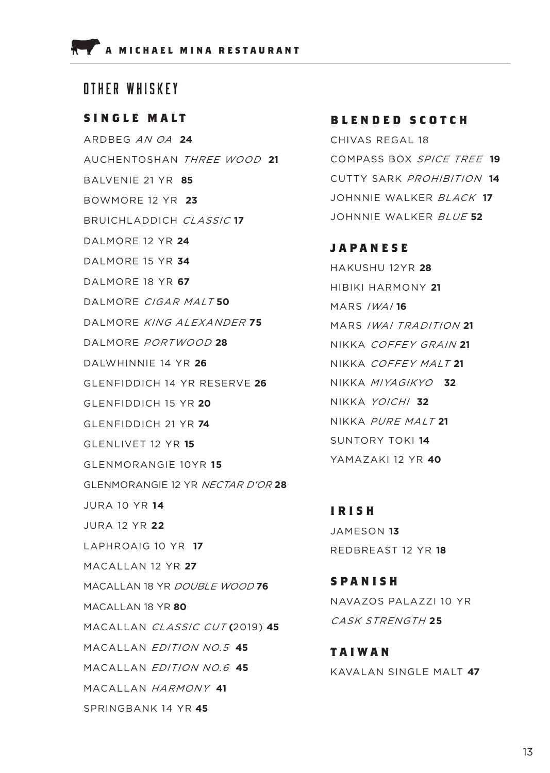## OTHER WHISKEY

### **SINGLE MALT**

ARDBEG AN OA **24** AUCHENTOSHAN THREE WOOD **21** BALVENIE 21 YR **85** BOWMORE 12 YR **23** BRUICHLADDICH CLASSIC **17** DALMORE 12 YR **24** DALMORE 15 YR **34** DALMORE 18 YR **67** DALMORE CIGAR MALT **50** DALMORE KING ALEXANDER **75** DALMORE PORTWOOD **28** DALWHINNIE 14 YR **26** GLENFIDDICH 14 YR RESERVE **26** GLENFIDDICH 15 YR **20** GLENFIDDICH 21 YR **74** GLENLIVET 12 YR **15** GLENMORANGIE 10YR **15** GLENMORANGIE 12 YR NECTAR D'OR **28** JURA 10 YR **14** JURA 12 YR **22** LAPHROAIG 10 YR **17** MACALLAN 12 YR **27** MACALLAN 18 YR DOUBLE WOOD **76** MACALLAN 18 YR **80** MACALLAN CLASSIC CUT **(**2019) **45** MACALLAN EDITION NO.5 **45** MACALLAN EDITION NO.6 **45** MACALLAN HARMONY **41** SPRINGBANK 14 YR **45**

### **B L E N D E D S C O T C H**

CHIVAS REGAL 18 COMPASS BOX SPICE TREE **19** CUTTY SARK PROHIBITION **14** JOHNNIE WALKER BLACK **17** JOHNNIE WALKER BLUE **52**

**JAPANESE**

HAKUSHU 12YR **28** HIBIKI HARMONY **21** MARS IWAI **16** MARS IWAI TRADITION **21** NIKKA COFFEY GRAIN **21** NIKKA COFFEY MALT **21** NIKKA MIYAGIKYO **32** NIKKA YOICHI **32** NIKKA PURE MALT **21** SUNTORY TOKI **14** YAMAZAKI 12 YR **40**

**IRISH** JAMESON **13** REDBREAST 12 YR **18**

**SPANISH** NAVAZOS PALAZZI 10 YR CASK STRENGTH **25**

**TAIWAN** KAVALAN SINGLE MALT **47**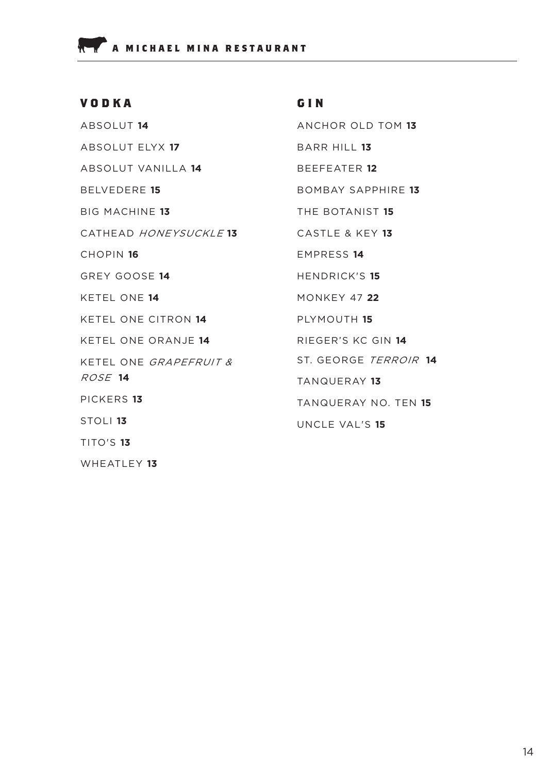WHEATLEY **13**

#### **GIN** ANCHOR OLD TOM **13** BARR HILL **13** BEEFEATER **12** BOMBAY SAPPHIRE **13** THE BOTANIST **15** CASTLE & KEY **13** EMPRESS **14** HENDRICK'S **15** MONKEY 47 **22** PLYMOUTH **15** RIEGER'S KC GIN **14** ST. GEORGE TERROIR **14** TANQUERAY **13** TANQUERAY NO. TEN **15** UNCLE VAL'S **15 VODKA** ABSOLUT **14** ABSOLUT ELYX **17** ABSOLUT VANILLA **14** BELVEDERE **15** BIG MACHINE **13** CATHEAD HONEYSUCKLE **13** CHOPIN **16** GREY GOOSE **14** KETEL ONE **14** KETEL ONE CITRON **14** KETEL ONE ORANJE **14** KETEL ONE GRAPEFRUIT & ROSE **14** PICKERS **13** STOLI **13** TITO'S **13**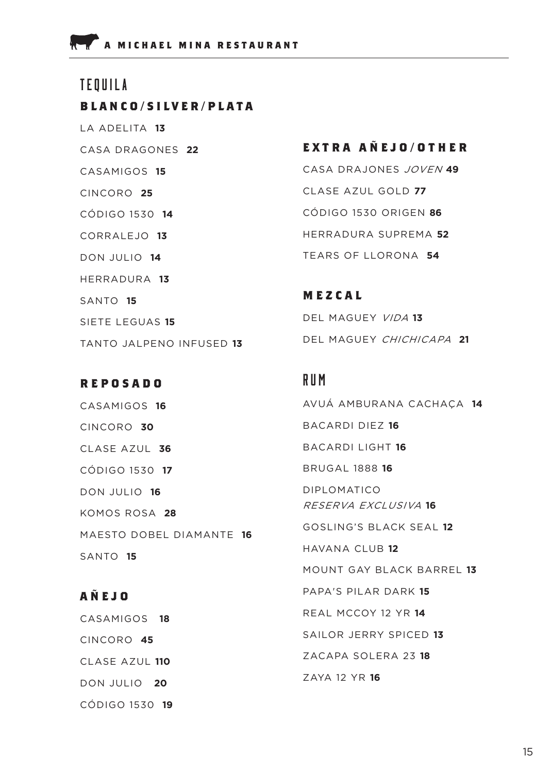**BLANCO/SILVER/PLATA** LA ADELITA **13** CASA DRAGONES **22** CASAMIGOS **15** CINCORO **25** CÓDIGO 1530 **14** CORRALEJO **13** DON JULIO **14** HERRADURA **13** SANTO **15** SIETE LEGUAS **15** TANTO JALPENO INFUSED **13** TEQUILA

### **REPOSADO**

CASAMIGOS **16** CINCORO **30**  CLASE AZUL **36** CÓDIGO 1530 **17** DON JULIO **16** KOMOS ROSA **28** MAESTO DOBEL DIAMANTE **16** SANTO **15**

# **AÑEJO** CASAMIGOS **18** CINCORO **45** CLASE AZUL **110** DON JULIO **20** CÓDIGO 1530 **19**

## **EXTRA AÑEJO/OTHER**

CASA DRAJONES JOVEN **49** CLASE AZUL GOLD **77** CÓDIGO 1530 ORIGEN **86** HERRADURA SUPREMA **52** TEARS OF LLORONA **54**

**MEZCAL** DEL MAGUEY VIDA **13** DEL MAGUEY CHICHICAPA **21**

## RUM

AVUÁ AMBURANA CACHAÇA **14** BACARDI DIEZ **16** BACARDI LIGHT **16** BRUGAL 1888 **16** DIPLOMATICO RESERVA EXCLUSIVA **16** GOSLING'S BLACK SEAL **12** HAVANA CLUB **12** MOUNT GAY BLACK BARREL **13** PAPA'S PILAR DARK **15** REAL MCCOY 12 YR **14** SAILOR JERRY SPICED **13** ZACAPA SOLERA 23 **18** ZAYA 12 YR **16**